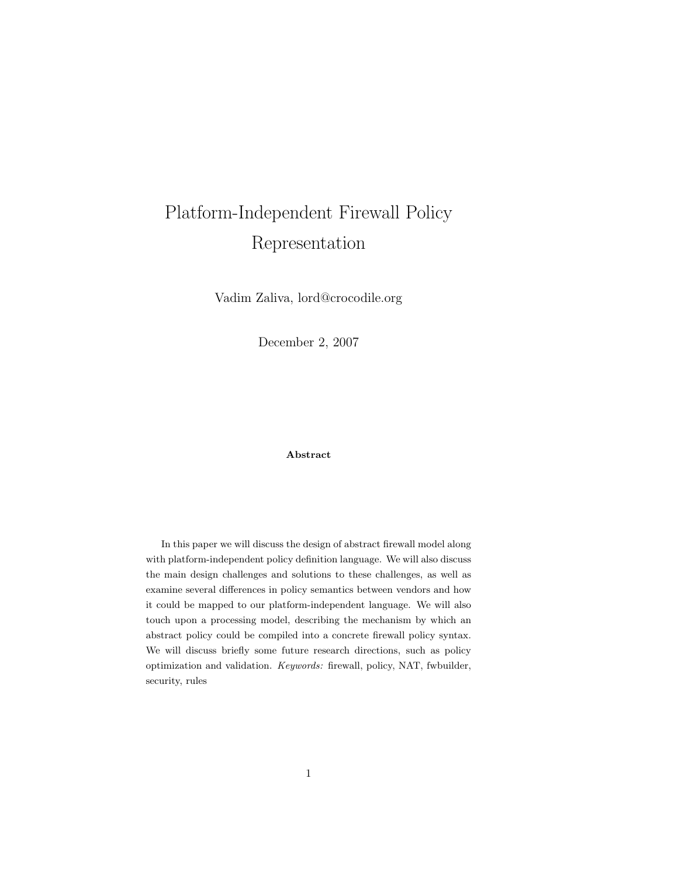# <span id="page-0-0"></span>Platform-Independent Firewall Policy Representation

Vadim Zaliva, lord@crocodile.org

December 2, 2007

#### Abstract

In this paper we will discuss the design of abstract firewall model along with platform-independent policy definition language. We will also discuss the main design challenges and solutions to these challenges, as well as examine several differences in policy semantics between vendors and how it could be mapped to our platform-independent language. We will also touch upon a processing model, describing the mechanism by which an abstract policy could be compiled into a concrete firewall policy syntax. We will discuss briefly some future research directions, such as policy optimization and validation. Keywords: firewall, policy, NAT, fwbuilder, security, rules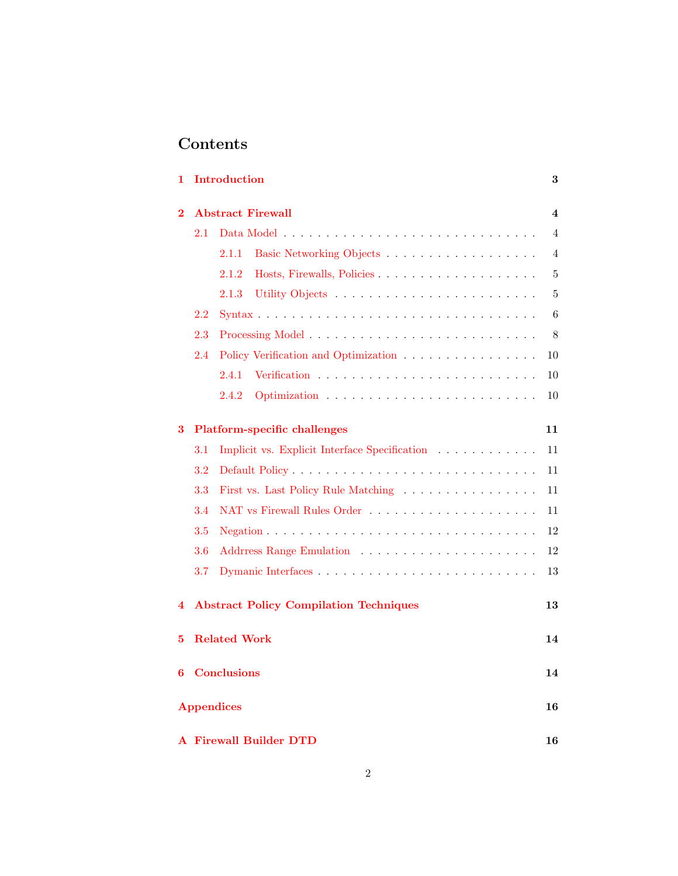## Contents

| 1                                                        | <b>Introduction</b><br>$\bf{3}$     |                                               |                |  |  |  |
|----------------------------------------------------------|-------------------------------------|-----------------------------------------------|----------------|--|--|--|
| $\overline{2}$                                           | <b>Abstract Firewall</b>            |                                               |                |  |  |  |
|                                                          | 2.1                                 |                                               |                |  |  |  |
|                                                          |                                     | Basic Networking Objects<br>2.1.1             | $\overline{4}$ |  |  |  |
|                                                          |                                     | 2.1.2                                         | 5              |  |  |  |
|                                                          |                                     | 2.1.3                                         | 5              |  |  |  |
|                                                          | 2.2                                 |                                               |                |  |  |  |
|                                                          | 2.3                                 |                                               |                |  |  |  |
|                                                          | 2.4                                 | Policy Verification and Optimization          | 10             |  |  |  |
|                                                          |                                     | 2.4.1                                         | 10             |  |  |  |
|                                                          |                                     | 2.4.2                                         | 10             |  |  |  |
| 3                                                        | <b>Platform-specific challenges</b> |                                               |                |  |  |  |
|                                                          | $3.1\,$                             | Implicit vs. Explicit Interface Specification | 11             |  |  |  |
|                                                          | 3.2                                 |                                               | 11             |  |  |  |
|                                                          | 3.3                                 | First vs. Last Policy Rule Matching           | 11             |  |  |  |
|                                                          | 3.4                                 |                                               |                |  |  |  |
|                                                          | $3.5\,$                             |                                               |                |  |  |  |
|                                                          | 3.6                                 |                                               |                |  |  |  |
|                                                          | 3.7                                 |                                               | 13             |  |  |  |
| <b>Abstract Policy Compilation Techniques</b><br>13<br>4 |                                     |                                               |                |  |  |  |
| 5                                                        | <b>Related Work</b>                 |                                               |                |  |  |  |
| 6                                                        | <b>Conclusions</b>                  |                                               |                |  |  |  |
|                                                          | <b>Appendices</b>                   |                                               |                |  |  |  |
|                                                          | <b>A Firewall Builder DTD</b><br>16 |                                               |                |  |  |  |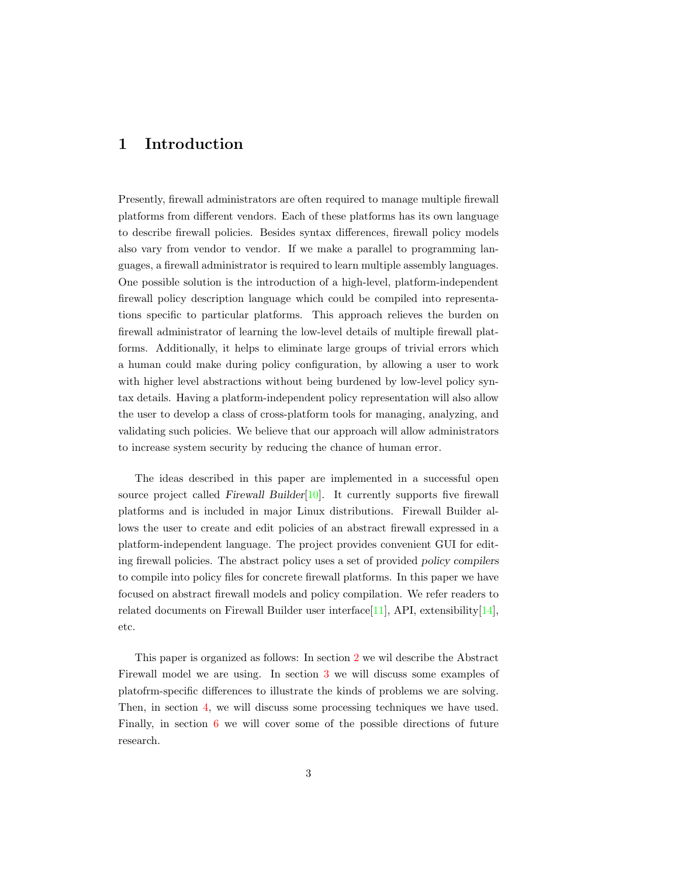## <span id="page-2-0"></span>1 Introduction

Presently, firewall administrators are often required to manage multiple firewall platforms from different vendors. Each of these platforms has its own language to describe firewall policies. Besides syntax differences, firewall policy models also vary from vendor to vendor. If we make a parallel to programming languages, a firewall administrator is required to learn multiple assembly languages. One possible solution is the introduction of a high-level, platform-independent firewall policy description language which could be compiled into representations specific to particular platforms. This approach relieves the burden on firewall administrator of learning the low-level details of multiple firewall platforms. Additionally, it helps to eliminate large groups of trivial errors which a human could make during policy configuration, by allowing a user to work with higher level abstractions without being burdened by low-level policy syntax details. Having a platform-independent policy representation will also allow the user to develop a class of cross-platform tools for managing, analyzing, and validating such policies. We believe that our approach will allow administrators to increase system security by reducing the chance of human error.

The ideas described in this paper are implemented in a successful open source project called Firewall Builder $[10]$ . It currently supports five firewall platforms and is included in major Linux distributions. Firewall Builder allows the user to create and edit policies of an abstract firewall expressed in a platform-independent language. The project provides convenient GUI for editing firewall policies. The abstract policy uses a set of provided policy compilers to compile into policy files for concrete firewall platforms. In this paper we have focused on abstract firewall models and policy compilation. We refer readers to related documents on Firewall Builder user interface[\[11\]](#page-14-1), API, extensibility[\[14\]](#page-15-1), etc.

This paper is organized as follows: In section [2](#page-3-0) we wil describe the Abstract Firewall model we are using. In section [3](#page-10-0) we will discuss some examples of platofrm-specific differences to illustrate the kinds of problems we are solving. Then, in section [4,](#page-12-1) we will discuss some processing techniques we have used. Finally, in section [6](#page-13-1) we will cover some of the possible directions of future research.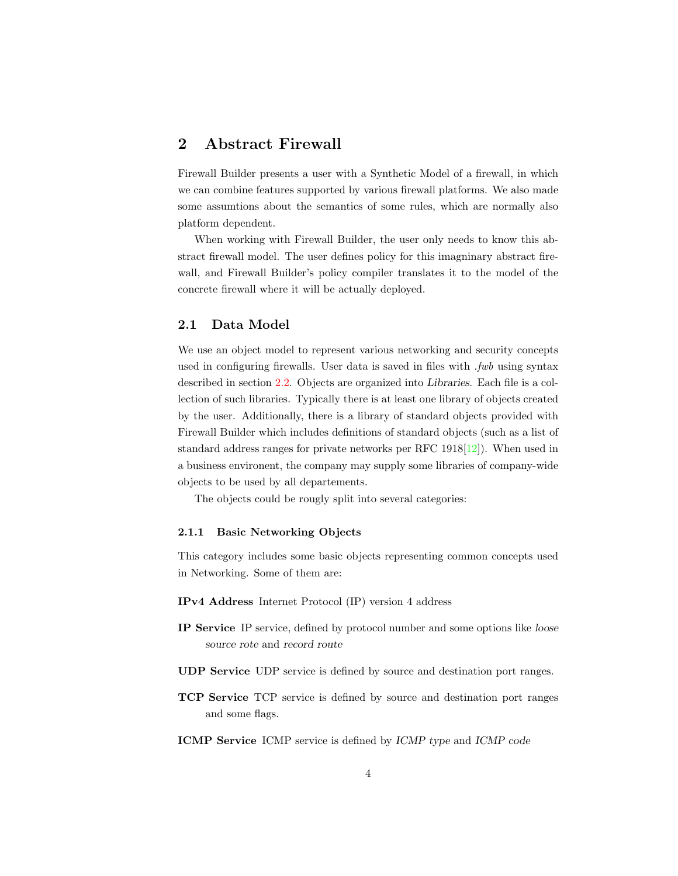## <span id="page-3-0"></span>2 Abstract Firewall

Firewall Builder presents a user with a Synthetic Model of a firewall, in which we can combine features supported by various firewall platforms. We also made some assumtions about the semantics of some rules, which are normally also platform dependent.

When working with Firewall Builder, the user only needs to know this abstract firewall model. The user defines policy for this imagninary abstract firewall, and Firewall Builder's policy compiler translates it to the model of the concrete firewall where it will be actually deployed.

#### <span id="page-3-1"></span>2.1 Data Model

We use an object model to represent various networking and security concepts used in configuring firewalls. User data is saved in files with *fwb* using syntax described in section [2.2.](#page-5-0) Objects are organized into Libraries. Each file is a collection of such libraries. Typically there is at least one library of objects created by the user. Additionally, there is a library of standard objects provided with Firewall Builder which includes definitions of standard objects (such as a list of standard address ranges for private networks per RFC 1918[\[12\]](#page-15-2)). When used in a business environent, the company may supply some libraries of company-wide objects to be used by all departements.

The objects could be rougly split into several categories:

#### <span id="page-3-2"></span>2.1.1 Basic Networking Objects

This category includes some basic objects representing common concepts used in Networking. Some of them are:

- IPv4 Address Internet Protocol (IP) version 4 address
- IP Service IP service, defined by protocol number and some options like loose source rote and record route
- UDP Service UDP service is defined by source and destination port ranges.
- TCP Service TCP service is defined by source and destination port ranges and some flags.
- ICMP Service ICMP service is defined by ICMP type and ICMP code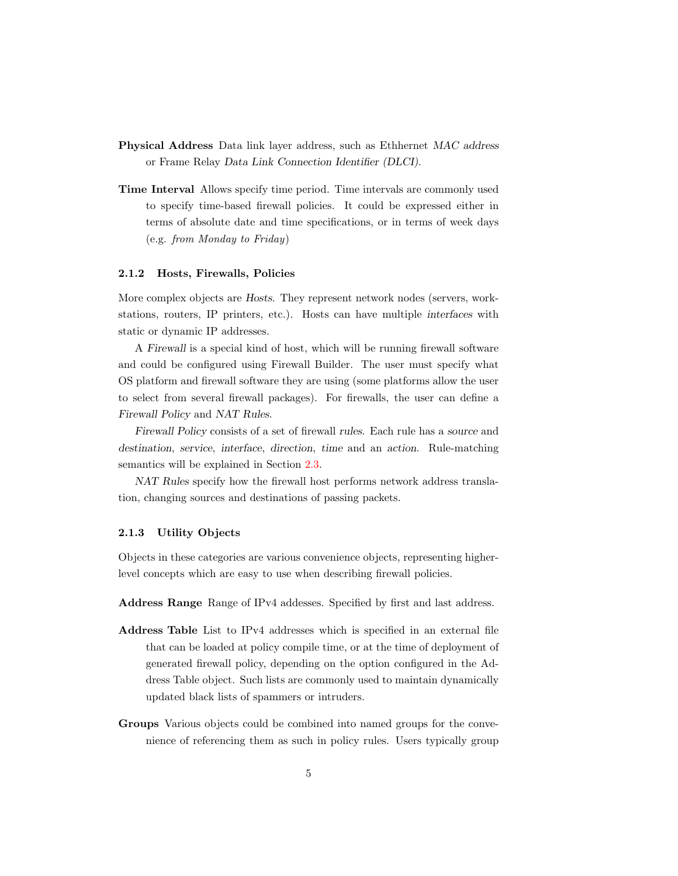- Physical Address Data link layer address, such as Ethhernet MAC address or Frame Relay Data Link Connection Identifier (DLCI).
- Time Interval Allows specify time period. Time intervals are commonly used to specify time-based firewall policies. It could be expressed either in terms of absolute date and time specifications, or in terms of week days (e.g. from Monday to Friday)

#### <span id="page-4-0"></span>2.1.2 Hosts, Firewalls, Policies

More complex objects are Hosts. They represent network nodes (servers, workstations, routers, IP printers, etc.). Hosts can have multiple interfaces with static or dynamic IP addresses.

A Firewall is a special kind of host, which will be running firewall software and could be configured using Firewall Builder. The user must specify what OS platform and firewall software they are using (some platforms allow the user to select from several firewall packages). For firewalls, the user can define a Firewall Policy and NAT Rules.

Firewall Policy consists of a set of firewall rules. Each rule has a source and destination, service, interface, direction, time and an action. Rule-matching semantics will be explained in Section [2.3.](#page-7-0)

NAT Rules specify how the firewall host performs network address translation, changing sources and destinations of passing packets.

#### <span id="page-4-1"></span>2.1.3 Utility Objects

Objects in these categories are various convenience objects, representing higherlevel concepts which are easy to use when describing firewall policies.

Address Range Range of IPv4 addesses. Specified by first and last address.

- Address Table List to IPv4 addresses which is specified in an external file that can be loaded at policy compile time, or at the time of deployment of generated firewall policy, depending on the option configured in the Address Table object. Such lists are commonly used to maintain dynamically updated black lists of spammers or intruders.
- Groups Various objects could be combined into named groups for the convenience of referencing them as such in policy rules. Users typically group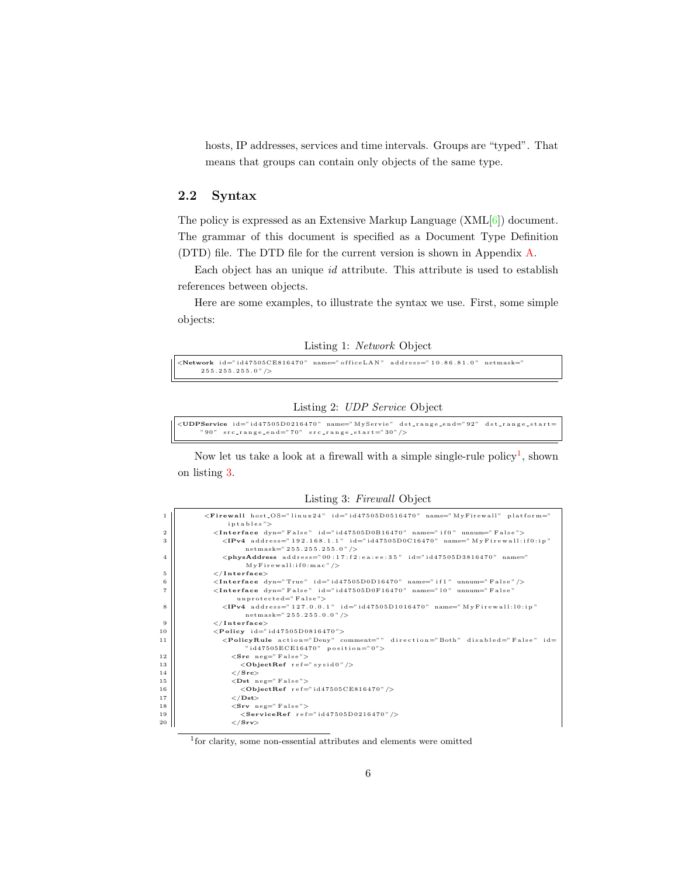hosts, IP addresses, services and time intervals. Groups are "typed". That means that groups can contain only objects of the same type.

#### <span id="page-5-0"></span>2.2 Syntax

The policy is expressed as an Extensive Markup Language (XML[\[6\]](#page-14-2)) document. The grammar of this document is specified as a Document Type Definition (DTD) file. The DTD file for the current version is shown in Appendix [A.](#page-15-0)

Each object has an unique id attribute. This attribute is used to establish references between objects.

Here are some examples, to illustrate the syntax we use. First, some simple objects:

Listing 1: Network Object

```
<Network id="id47505CE816470" name="officeLAN" address="10.86.81.0" netmask="\,2\,5\,5 . 2\,5\,5 . 2\,5\,5 . 0\, " /
```
Listing 2: UDP Service Object

```
<UDPService id="id47505D0216470" name="MyServie" dst_range_end="92" dst_range_start=
     " 90" src_range_end="70" src_range_start="30" />
```
Now let us take a look at a firewall with a simple single-rule policy<sup>[1](#page-0-0)</sup>, shown on listing [3.](#page-5-1)

Listing 3: Firewall Object

<span id="page-5-1"></span>

| <sup>1</sup>   | <firewall host_os="linux24" id="id47505D0516470" name="MyFirewall" platform="&lt;/td&gt;&lt;/tr&gt;&lt;tr&gt;&lt;td&gt;&lt;/td&gt;&lt;td&gt;iptables"></firewall> |
|----------------|-------------------------------------------------------------------------------------------------------------------------------------------------------------------|
| $\overline{2}$ | <interface dyn="False" id="id47505D0B16470" name="if0" unnum="False"></interface>                                                                                 |
| 3              | $\langle IPv4 \text{ address} = "192.168.1.1" \text{ id} = "id47505D0C16470" name = "MyFirewall:if0:ip"$                                                          |
|                | $netmask=" 255.255.255.0" / >$                                                                                                                                    |
| 4              | $<$ physAddress address="00:17:f2:ea:ee:35" id="id47505D3816470" name="                                                                                           |
|                | $M y$ Firewall:if0:mac"/>                                                                                                                                         |
| 5              | $\langle$ /Interface>                                                                                                                                             |
| 6              | $\langle$ Interface dyn="True" id="id47505D0D16470" name="if1" unnum="False"/>                                                                                    |
| 7              | <interface <="" dyn="False" id="id47505D0F16470" name="10" td="" unnum="False"></interface>                                                                       |
|                | $unprotected=" False"$                                                                                                                                            |
| 8              | $\langle I \rbrack Pv4 \; \text{address} = "127.0.0.1" \; \text{id} = "id47505D1016470" \; \text{name} = "MyFirewall:10:ip"$                                      |
|                | $netmask=" 255.255.0.0" / >$                                                                                                                                      |
| 9              | $\langle$ /Interface>                                                                                                                                             |
| 10             | $\langle$ Policy id="id47505D0816470">                                                                                                                            |
| 11             | <policyrule action="Deny" comment="" direction="Both" disabled="False" id="&lt;/td"></policyrule>                                                                 |
|                | " $id47505ECE16470"$ position="0">                                                                                                                                |
| 12             | $\langle$ Src neg="False">                                                                                                                                        |
| 13             | $\langle$ ObjectRef ref="sysid0"/>                                                                                                                                |
| 14             | $\langle$ / Src $\rangle$                                                                                                                                         |
| $15\,$         | $\langle$ Dst neg="False">                                                                                                                                        |
| 16             | $\langle$ ObjectRef ref="id47505CE816470"/>                                                                                                                       |
| 17             | $\langle$ /Dst $\rangle$                                                                                                                                          |
| 18             | $\langle$ Srv neg="False">                                                                                                                                        |
| 19             | $<$ ServiceRef ref="id47505D0216470"/>                                                                                                                            |
| 20             | $\langle$ /Srv>                                                                                                                                                   |
|                |                                                                                                                                                                   |

1 for clarity, some non-essential attributes and elements were omitted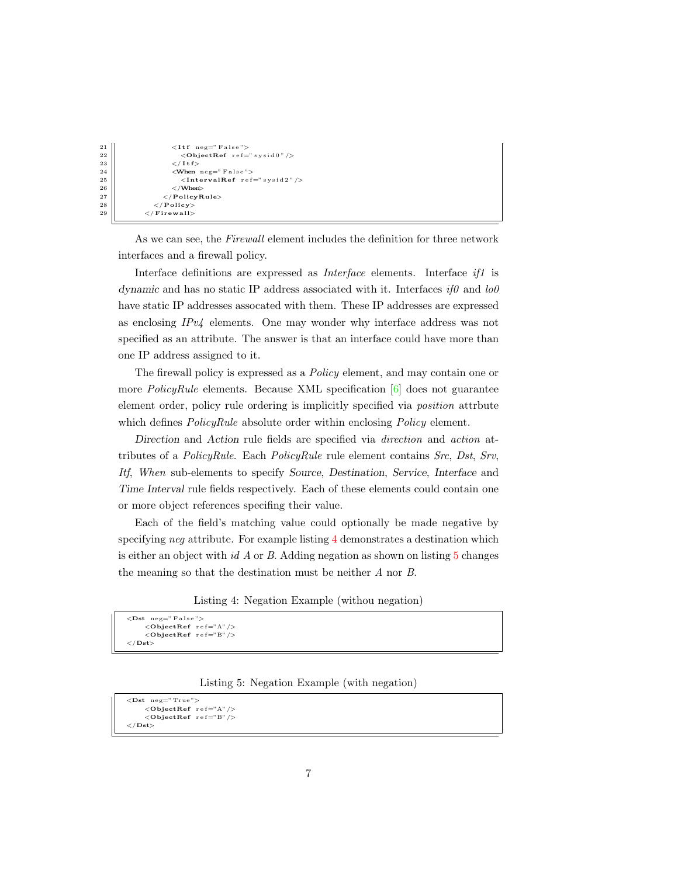```
21 \left|\right| \left| \right| \left| \right| \left| \right| \left| \right| \left| \right| \left| \right| \left| \right| \left| \right| \left| \right| \left| \right| \left| \right| \left| \right| \left| \right| \left| \right| \left| \right| \left| \right| \left| \right| \left| \right| \left| \right| \left| \right| \left| \right| \left| \right| \left| \right| \left22 <ObjectRef r e f=" s y s i d 0 "/>
                                              \lt/\mathbf{I} t f >24 <When neg=" F a l s e ">
                                                   \langleIntervalRef ref=" sysid2"/>
\begin{array}{c|c}\n 26 & & \sqrt{\text{When}} & \\
 27 & & \sqrt{\text{PolicyR}}\n\end{array}\langle/PolicyRule>
28 </ Po l icy>
29 </ F i rew a l l>
```
As we can see, the *Firewall* element includes the definition for three network interfaces and a firewall policy.

Interface definitions are expressed as *Interface* elements. Interface if1 is dynamic and has no static IP address associated with it. Interfaces  $if\theta$  and  $lo\theta$ have static IP addresses assocated with them. These IP addresses are expressed as enclosing  $IPv4$  elements. One may wonder why interface address was not specified as an attribute. The answer is that an interface could have more than one IP address assigned to it.

The firewall policy is expressed as a Policy element, and may contain one or more *PolicyRule* elements. Because XML specification  $[6]$  does not guarantee element order, policy rule ordering is implicitly specified via position attrbute which defines *PolicyRule* absolute order within enclosing *Policy* element.

Direction and Action rule fields are specified via direction and action attributes of a PolicyRule. Each PolicyRule rule element contains Src, Dst, Srv, Itf, When sub-elements to specify Source, Destination, Service, Interface and Time Interval rule fields respectively. Each of these elements could contain one or more object references specifing their value.

Each of the field's matching value could optionally be made negative by specifying *neg* attribute. For example listing [4](#page-6-0) demonstrates a destination which is either an object with  $idA$  or  $B$ . Adding negation as shown on listing  $5$  changes the meaning so that the destination must be neither A nor B.

Listing 4: Negation Example (withou negation)

```
<Dst neg=" False">
    <ObjectRef ref="A"/>
    <ObjectRef ref="B" /\langle /Dst\rangle
```
Listing 5: Negation Example (with negation)

```
<Dst neg="True">
     <ObjectRef ref="A"/>
     \langleObjectRef ref="B"/>
\langle / Dst\rangle
```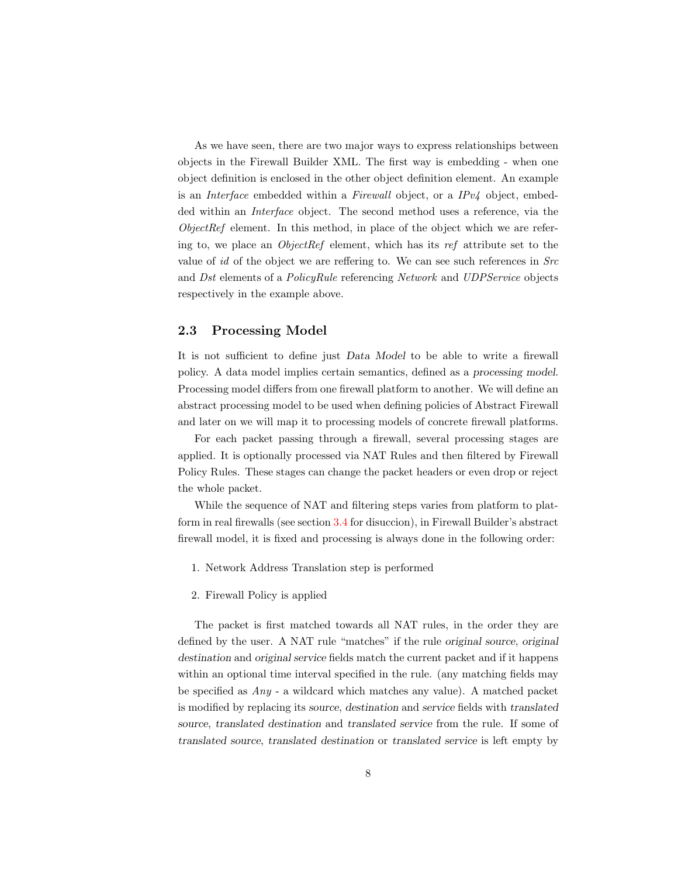As we have seen, there are two major ways to express relationships between objects in the Firewall Builder XML. The first way is embedding - when one object definition is enclosed in the other object definition element. An example is an Interface embedded within a Firewall object, or a IPv4 object, embedded within an *Interface* object. The second method uses a reference, via the ObjectRef element. In this method, in place of the object which we are refering to, we place an ObjectRef element, which has its ref attribute set to the value of id of the object we are reffering to. We can see such references in  $Src$ and Dst elements of a *PolicyRule* referencing *Network* and *UDPService* objects respectively in the example above.

#### <span id="page-7-0"></span>2.3 Processing Model

It is not sufficient to define just Data Model to be able to write a firewall policy. A data model implies certain semantics, defined as a processing model. Processing model differs from one firewall platform to another. We will define an abstract processing model to be used when defining policies of Abstract Firewall and later on we will map it to processing models of concrete firewall platforms.

For each packet passing through a firewall, several processing stages are applied. It is optionally processed via NAT Rules and then filtered by Firewall Policy Rules. These stages can change the packet headers or even drop or reject the whole packet.

While the sequence of NAT and filtering steps varies from platform to platform in real firewalls (see section [3.4](#page-10-4) for disuccion), in Firewall Builder's abstract firewall model, it is fixed and processing is always done in the following order:

- 1. Network Address Translation step is performed
- 2. Firewall Policy is applied

The packet is first matched towards all NAT rules, in the order they are defined by the user. A NAT rule "matches" if the rule original source, original destination and original service fields match the current packet and if it happens within an optional time interval specified in the rule. (any matching fields may be specified as Any - a wildcard which matches any value). A matched packet is modified by replacing its source, destination and service fields with translated source, translated destination and translated service from the rule. If some of translated source, translated destination or translated service is left empty by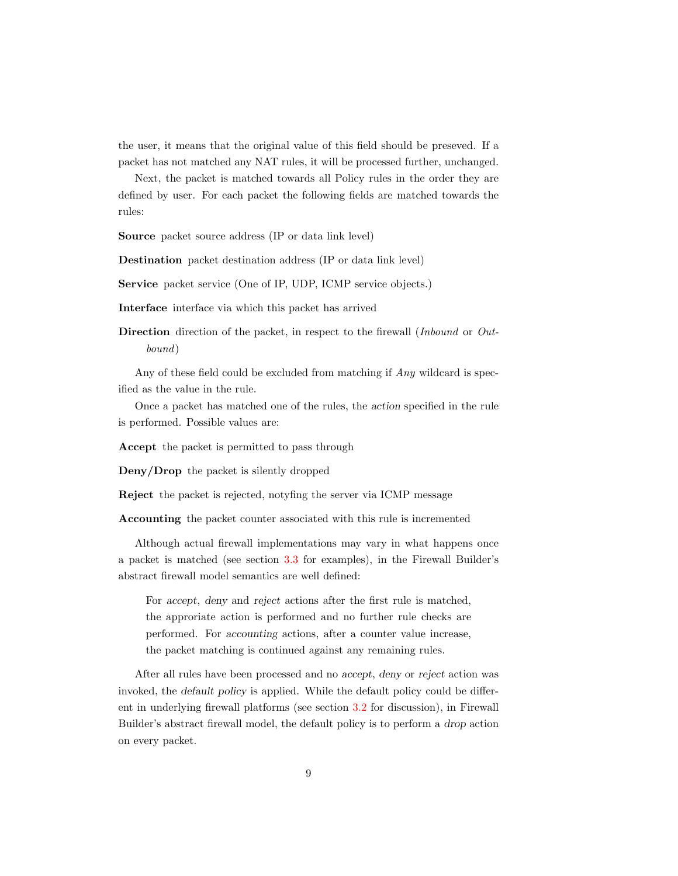the user, it means that the original value of this field should be preseved. If a packet has not matched any NAT rules, it will be processed further, unchanged.

Next, the packet is matched towards all Policy rules in the order they are defined by user. For each packet the following fields are matched towards the rules:

Source packet source address (IP or data link level)

Destination packet destination address (IP or data link level)

Service packet service (One of IP, UDP, ICMP service objects.)

Interface interface via which this packet has arrived

Direction direction of the packet, in respect to the firewall *(Inbound* or Outbound)

Any of these field could be excluded from matching if Any wildcard is specified as the value in the rule.

Once a packet has matched one of the rules, the action specified in the rule is performed. Possible values are:

Accept the packet is permitted to pass through

Deny/Drop the packet is silently dropped

Reject the packet is rejected, notyfing the server via ICMP message

Accounting the packet counter associated with this rule is incremented

Although actual firewall implementations may vary in what happens once a packet is matched (see section [3.3](#page-10-3) for examples), in the Firewall Builder's abstract firewall model semantics are well defined:

For accept, deny and reject actions after the first rule is matched, the approriate action is performed and no further rule checks are performed. For accounting actions, after a counter value increase, the packet matching is continued against any remaining rules.

After all rules have been processed and no accept, deny or reject action was invoked, the default policy is applied. While the default policy could be different in underlying firewall platforms (see section [3.2](#page-10-2) for discussion), in Firewall Builder's abstract firewall model, the default policy is to perform a drop action on every packet.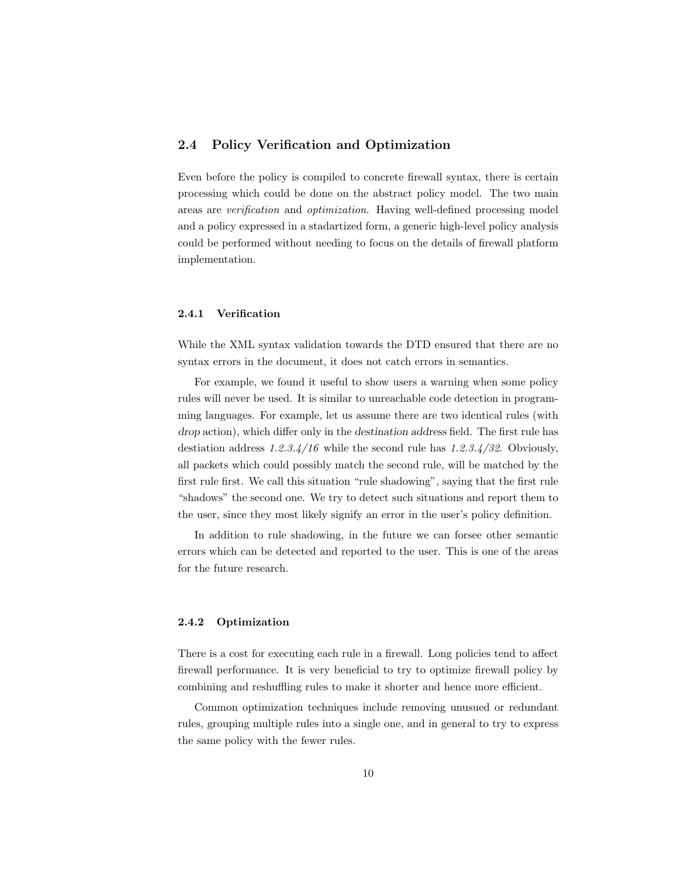#### <span id="page-9-0"></span>2.4 Policy Verification and Optimization

Even before the policy is compiled to concrete firewall syntax, there is certain processing which could be done on the abstract policy model. The two main areas are verification and optimization. Having well-defined processing model and a policy expressed in a stadartized form, a generic high-level policy analysis could be performed without needing to focus on the details of firewall platform implementation.

#### <span id="page-9-1"></span>2.4.1 Verification

While the XML syntax validation towards the DTD ensured that there are no syntax errors in the document, it does not catch errors in semantics.

For example, we found it useful to show users a warning when some policy rules will never be used. It is similar to unreachable code detection in programming languages. For example, let us assume there are two identical rules (with drop action), which differ only in the destination address field. The first rule has destiation address  $1.2.3.4/16$  while the second rule has  $1.2.3.4/32$ . Obviously, all packets which could possibly match the second rule, will be matched by the first rule first. We call this situation "rule shadowing", saying that the first rule "shadows" the second one. We try to detect such situations and report them to the user, since they most likely signify an error in the user's policy definition.

In addition to rule shadowing, in the future we can forsee other semantic errors which can be detected and reported to the user. This is one of the areas for the future research.

#### <span id="page-9-2"></span>2.4.2 Optimization

There is a cost for executing each rule in a firewall. Long policies tend to affect firewall performance. It is very beneficial to try to optimize firewall policy by combining and reshuffling rules to make it shorter and hence more efficient.

Common optimization techniques include removing unusued or redundant rules, grouping multiple rules into a single one, and in general to try to express the same policy with the fewer rules.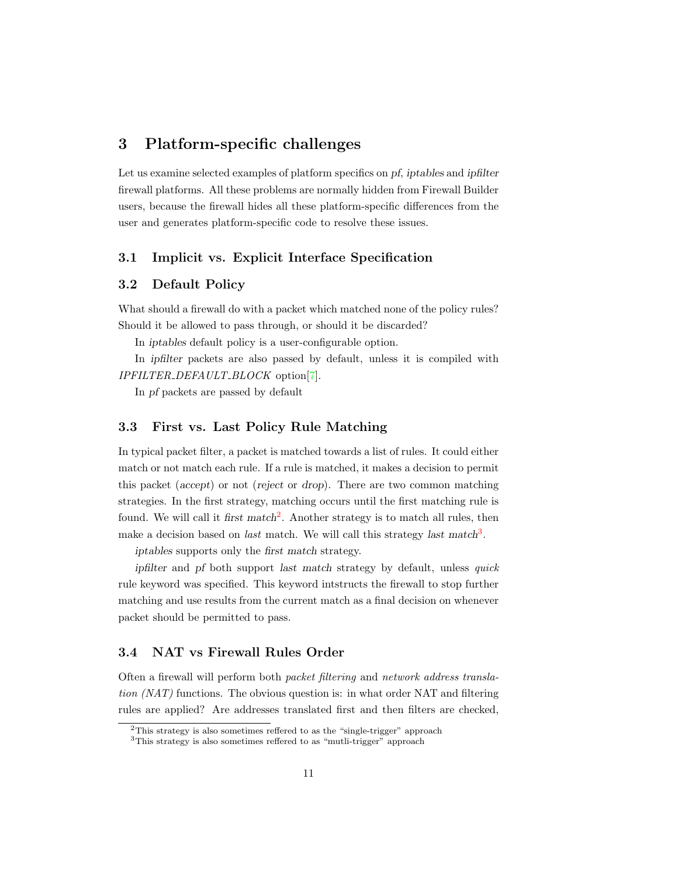## <span id="page-10-0"></span>3 Platform-specific challenges

Let us examine selected examples of platform specifics on pf, iptables and ipfilter firewall platforms. All these problems are normally hidden from Firewall Builder users, because the firewall hides all these platform-specific differences from the user and generates platform-specific code to resolve these issues.

#### <span id="page-10-1"></span>3.1 Implicit vs. Explicit Interface Specification

#### <span id="page-10-2"></span>3.2 Default Policy

What should a firewall do with a packet which matched none of the policy rules? Should it be allowed to pass through, or should it be discarded?

In iptables default policy is a user-configurable option.

In ipfilter packets are also passed by default, unless it is compiled with IPFILTER DEFAULT BLOCK option[\[7\]](#page-14-3).

In pf packets are passed by default

#### <span id="page-10-3"></span>3.3 First vs. Last Policy Rule Matching

In typical packet filter, a packet is matched towards a list of rules. It could either match or not match each rule. If a rule is matched, it makes a decision to permit this packet (accept) or not (reject or drop). There are two common matching strategies. In the first strategy, matching occurs until the first matching rule is found. We will call it first match<sup>[2](#page-0-0)</sup>. Another strategy is to match all rules, then make a decision based on *last* match. We will call this strategy *last* match<sup>[3](#page-0-0)</sup>.

iptables supports only the first match strategy.

ipfilter and pf both support last match strategy by default, unless quick rule keyword was specified. This keyword intstructs the firewall to stop further matching and use results from the current match as a final decision on whenever packet should be permitted to pass.

### <span id="page-10-4"></span>3.4 NAT vs Firewall Rules Order

Often a firewall will perform both packet filtering and network address translation (NAT) functions. The obvious question is: in what order NAT and filtering rules are applied? Are addresses translated first and then filters are checked,

 $2$ This strategy is also sometimes reffered to as the "single-trigger" approach

<sup>3</sup>This strategy is also sometimes reffered to as "mutli-trigger" approach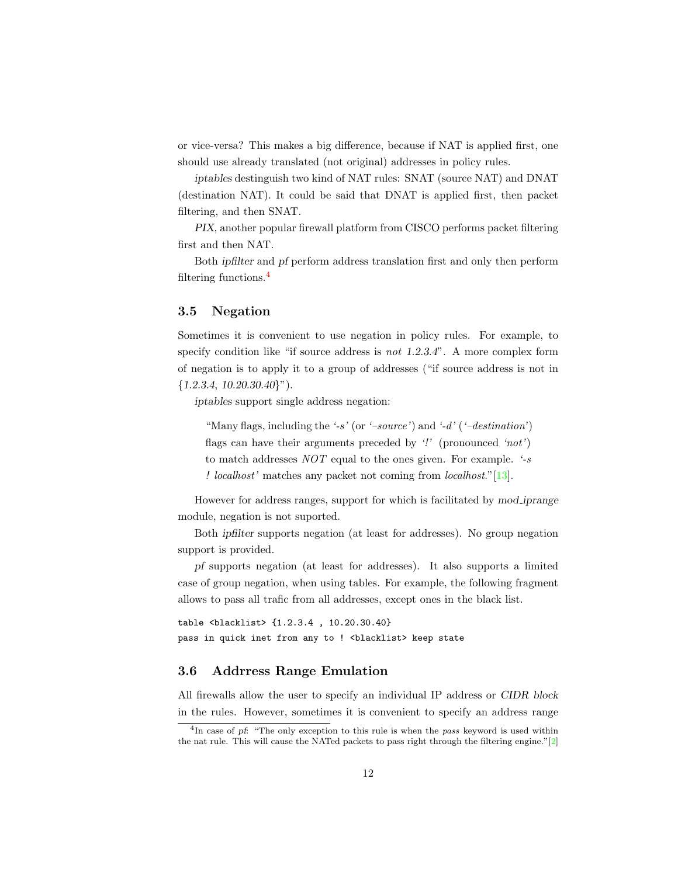or vice-versa? This makes a big difference, because if NAT is applied first, one should use already translated (not original) addresses in policy rules.

iptables destinguish two kind of NAT rules: SNAT (source NAT) and DNAT (destination NAT). It could be said that DNAT is applied first, then packet filtering, and then SNAT.

PIX, another popular firewall platform from CISCO performs packet filtering first and then NAT.

Both ipfilter and pf perform address translation first and only then perform filtering functions.[4](#page-0-0)

#### <span id="page-11-0"></span>3.5 Negation

Sometimes it is convenient to use negation in policy rules. For example, to specify condition like "if source address is *not* 1.2.3.4". A more complex form of negation is to apply it to a group of addresses ("if source address is not in  ${1.2.3.4, 10.20.30.40}$ ").

iptables support single address negation:

"Many flags, including the '-s' (or '-source') and '-d' ('-destination') flags can have their arguments preceded by  $\mathcal{L}'$  (pronounced 'not') to match addresses  $NOT$  equal to the ones given. For example.  $\cdot$ -s ! localhost' matches any packet not coming from localhost."[\[13\]](#page-15-3).

However for address ranges, support for which is facilitated by mod iprange module, negation is not suported.

Both ipfilter supports negation (at least for addresses). No group negation support is provided.

pf supports negation (at least for addresses). It also supports a limited case of group negation, when using tables. For example, the following fragment allows to pass all trafic from all addresses, except ones in the black list.

table <blacklist> {1.2.3.4 , 10.20.30.40} pass in quick inet from any to ! <br/>blacklist> keep state

#### <span id="page-11-1"></span>3.6 Addrress Range Emulation

All firewalls allow the user to specify an individual IP address or CIDR block in the rules. However, sometimes it is convenient to specify an address range

<sup>&</sup>lt;sup>4</sup>In case of pf: "The only exception to this rule is when the pass keyword is used within the nat rule. This will cause the NATed packets to pass right through the filtering engine." $[2]$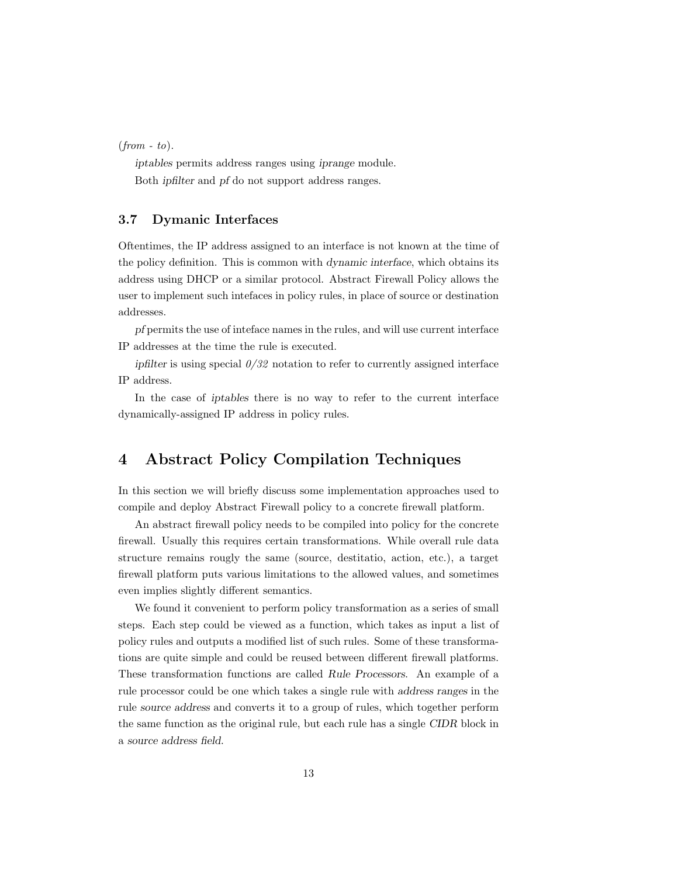$(from - to).$ 

iptables permits address ranges using iprange module. Both ipfilter and pf do not support address ranges.

### <span id="page-12-0"></span>3.7 Dymanic Interfaces

Oftentimes, the IP address assigned to an interface is not known at the time of the policy definition. This is common with dynamic interface, which obtains its address using DHCP or a similar protocol. Abstract Firewall Policy allows the user to implement such intefaces in policy rules, in place of source or destination addresses.

pf permits the use of inteface names in the rules, and will use current interface IP addresses at the time the rule is executed.

ipfilter is using special  $0/32$  notation to refer to currently assigned interface IP address.

In the case of iptables there is no way to refer to the current interface dynamically-assigned IP address in policy rules.

## <span id="page-12-1"></span>4 Abstract Policy Compilation Techniques

In this section we will briefly discuss some implementation approaches used to compile and deploy Abstract Firewall policy to a concrete firewall platform.

An abstract firewall policy needs to be compiled into policy for the concrete firewall. Usually this requires certain transformations. While overall rule data structure remains rougly the same (source, destitatio, action, etc.), a target firewall platform puts various limitations to the allowed values, and sometimes even implies slightly different semantics.

We found it convenient to perform policy transformation as a series of small steps. Each step could be viewed as a function, which takes as input a list of policy rules and outputs a modified list of such rules. Some of these transformations are quite simple and could be reused between different firewall platforms. These transformation functions are called Rule Processors. An example of a rule processor could be one which takes a single rule with address ranges in the rule source address and converts it to a group of rules, which together perform the same function as the original rule, but each rule has a single CIDR block in a source address field.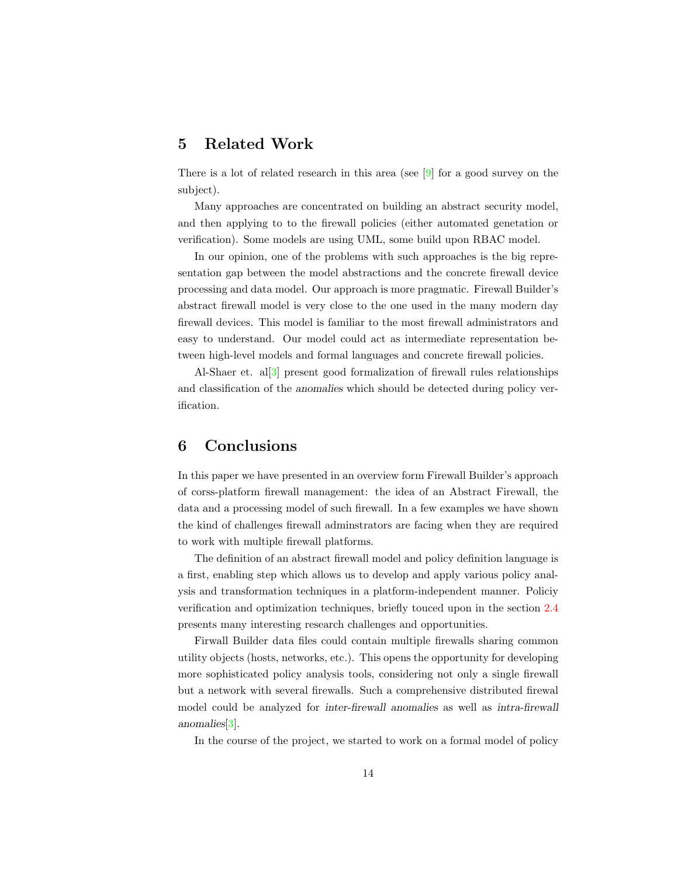## <span id="page-13-0"></span>5 Related Work

There is a lot of related research in this area (see  $[9]$  for a good survey on the subject).

Many approaches are concentrated on building an abstract security model, and then applying to to the firewall policies (either automated genetation or verification). Some models are using UML, some build upon RBAC model.

In our opinion, one of the problems with such approaches is the big representation gap between the model abstractions and the concrete firewall device processing and data model. Our approach is more pragmatic. Firewall Builder's abstract firewall model is very close to the one used in the many modern day firewall devices. This model is familiar to the most firewall administrators and easy to understand. Our model could act as intermediate representation between high-level models and formal languages and concrete firewall policies.

Al-Shaer et. al[\[3\]](#page-14-6) present good formalization of firewall rules relationships and classification of the anomalies which should be detected during policy verification.

## <span id="page-13-1"></span>6 Conclusions

In this paper we have presented in an overview form Firewall Builder's approach of corss-platform firewall management: the idea of an Abstract Firewall, the data and a processing model of such firewall. In a few examples we have shown the kind of challenges firewall adminstrators are facing when they are required to work with multiple firewall platforms.

The definition of an abstract firewall model and policy definition language is a first, enabling step which allows us to develop and apply various policy analysis and transformation techniques in a platform-independent manner. Policiy verification and optimization techniques, briefly touced upon in the section [2.4](#page-9-0) presents many interesting research challenges and opportunities.

Firwall Builder data files could contain multiple firewalls sharing common utility objects (hosts, networks, etc.). This opens the opportunity for developing more sophisticated policy analysis tools, considering not only a single firewall but a network with several firewalls. Such a comprehensive distributed firewal model could be analyzed for inter-firewall anomalies as well as intra-firewall anomalies[\[3\]](#page-14-6).

In the course of the project, we started to work on a formal model of policy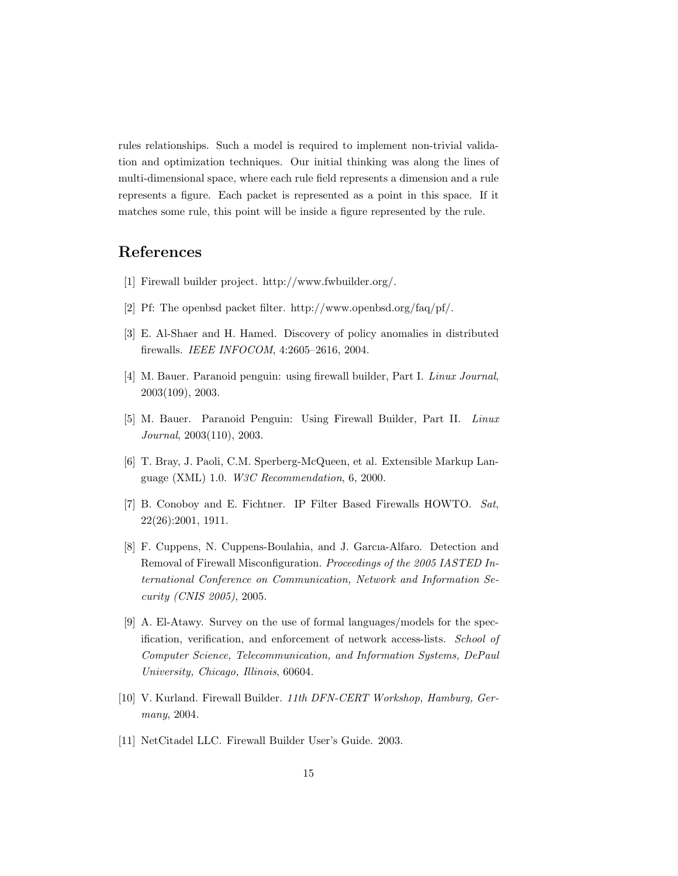rules relationships. Such a model is required to implement non-trivial validation and optimization techniques. Our initial thinking was along the lines of multi-dimensional space, where each rule field represents a dimension and a rule represents a figure. Each packet is represented as a point in this space. If it matches some rule, this point will be inside a figure represented by the rule.

## References

- [1] Firewall builder project. http://www.fwbuilder.org/.
- <span id="page-14-4"></span>[2] Pf: The openbsd packet filter. http://www.openbsd.org/faq/pf/.
- <span id="page-14-6"></span>[3] E. Al-Shaer and H. Hamed. Discovery of policy anomalies in distributed firewalls. IEEE INFOCOM, 4:2605–2616, 2004.
- [4] M. Bauer. Paranoid penguin: using firewall builder, Part I. Linux Journal, 2003(109), 2003.
- [5] M. Bauer. Paranoid Penguin: Using Firewall Builder, Part II. Linux Journal, 2003(110), 2003.
- <span id="page-14-2"></span>[6] T. Bray, J. Paoli, C.M. Sperberg-McQueen, et al. Extensible Markup Language (XML) 1.0. W3C Recommendation, 6, 2000.
- <span id="page-14-3"></span>[7] B. Conoboy and E. Fichtner. IP Filter Based Firewalls HOWTO. Sat, 22(26):2001, 1911.
- [8] F. Cuppens, N. Cuppens-Boulahia, and J. Garcıa-Alfaro. Detection and Removal of Firewall Misconfiguration. Proceedings of the 2005 IASTED International Conference on Communication, Network and Information Security (CNIS 2005), 2005.
- <span id="page-14-5"></span>[9] A. El-Atawy. Survey on the use of formal languages/models for the specification, verification, and enforcement of network access-lists. School of Computer Science, Telecommunication, and Information Systems, DePaul University, Chicago, Illinois, 60604.
- <span id="page-14-0"></span>[10] V. Kurland. Firewall Builder. 11th DFN-CERT Workshop, Hamburg, Germany, 2004.
- <span id="page-14-1"></span>[11] NetCitadel LLC. Firewall Builder User's Guide. 2003.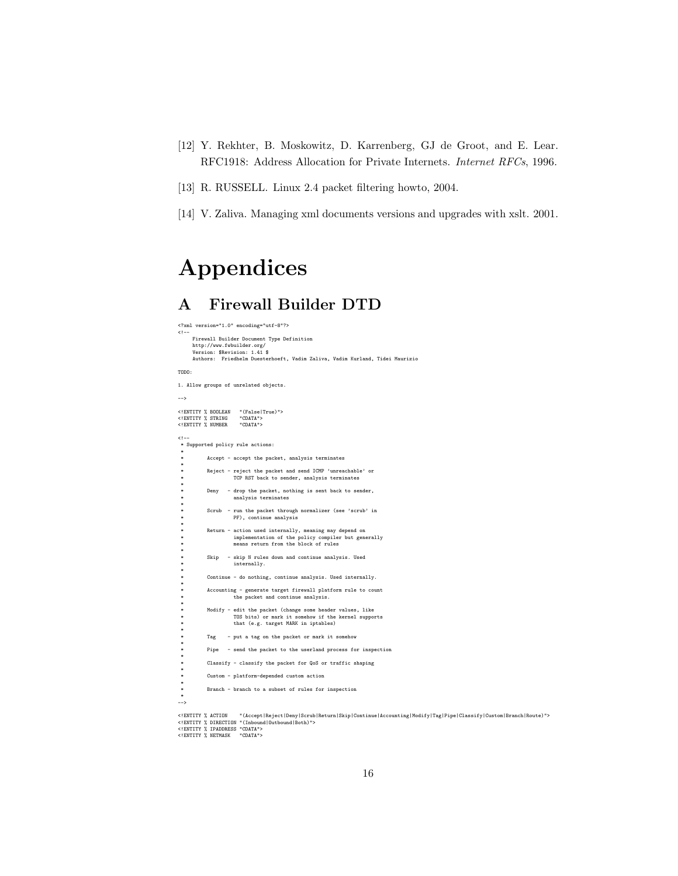- <span id="page-15-2"></span>[12] Y. Rekhter, B. Moskowitz, D. Karrenberg, GJ de Groot, and E. Lear. RFC1918: Address Allocation for Private Internets. Internet RFCs, 1996.
- <span id="page-15-3"></span>[13] R. RUSSELL. Linux 2.4 packet filtering howto, 2004.
- <span id="page-15-1"></span>[14] V. Zaliva. Managing xml documents versions and upgrades with xslt. 2001.

# Appendices

## <span id="page-15-0"></span>A Firewall Builder DTD

```
<?xml version="1.0" encoding="utf-8"?>
 <!--
      Firewall Builder Document Type Definition
      http://www.fwbuilder.org/
       Version: $Revision: 1.41 $
Authors: Friedhelm Duesterhoeft, Vadim Zaliva, Vadim Kurland, Tidei Maurizio
TODO:
1. Allow groups of unrelated objects.
-->
 <!ENTITY % BOOLEAN "(False|True)">
<!ENTITY % STRING "CDATA">
<!ENTITY % NUMBER "CDATA">
1 -.:--<br>* Supported policy rule actions:
  *
            Accept - accept the packet, analysis terminates
  *
            Reject - reject the packet and send ICMP 'unreachable' or
                       TCP RST back to sender, analysis terminates
  *
  * Deny - drop the packet, nothing is sent back to sender,
* analysis terminates
  *
  * Scrub - run the packet through normalizer (see 'scrub' in
* PF), continue analysis
  *
  * Return - action used internally, meaning may depend on
* implementation of the policy compiler but generally
* means return from the block of rules
  *
  * Skip - skip N rules down and continue analysis. Used
* internally.
  *
            \text{Continue} - do nothing, continue analysis. Used internally.
  *
  * Accounting - generate target firewall platform rule to count
* the packet and continue analysis.
  *
  * Modify - edit the packet (change some header values, like
* TOS bits) or mark it somehow if the kernel supports
                       that (e.g. target MARK in iptables)
  *
            Tag - put a tag on the packet or mark it somehow
  *
            Pipe - send the packet to the userland process for inspection
  *
            Classify - classify the packet for QoS or traffic shaping
  *
            Custom - platform-depended custom action
  *
            Branch - branch to a subset of rules for inspection
 *
-->
 <!ENTITY % ACTION   "(Accept|Reject|Deny|Scrub|Return|Skip|Continue|Accounting|Modify|Tag|Pipe|Classify|Custom|Branch|Route)"><br><!ENTITY % DIRECTION "(Inbound|Outbound|Both)">
```
<!ENTITY % IPADDRESS "CDATA"> <!ENTITY % NETMASK "CDATA">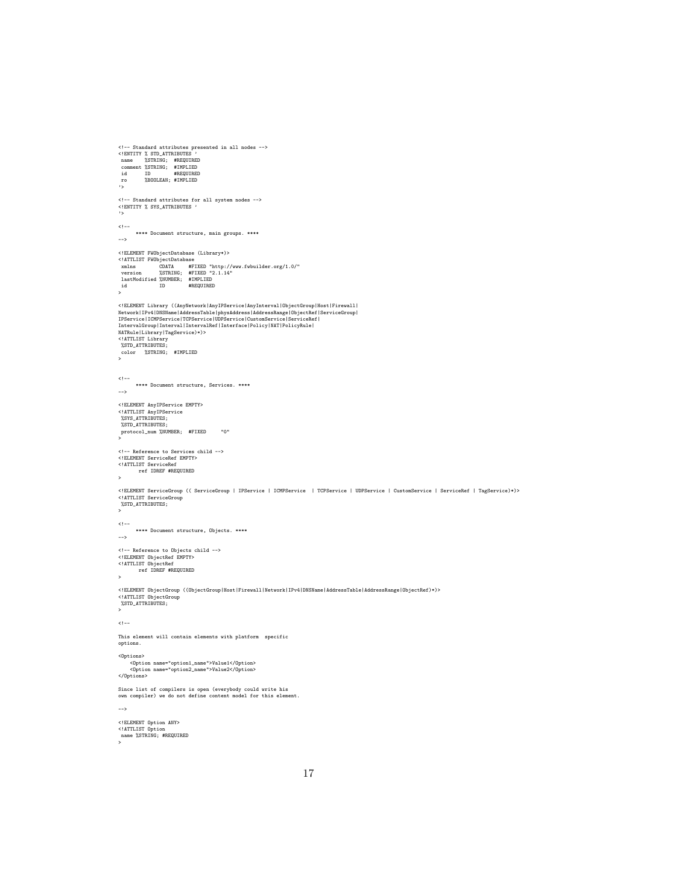```
<!-- Standard attributes presented in all nodes -->
<!ENTITY % STD_ATTRIBUTES '
name %STRING; #REQUIRED
comment %STRING; #IMPLIED
id ID #REQUIRED
 ro %BOOLEAN; #IMPLIED
\frac{r}{\sqrt{2}}<!-- Standard attributes for all system nodes -->
<!ENTITY % SYS_ATTRIBUTES '
'>
<!-**** Document structure, main groups. ****
-->
 %\terTLIST FWObjectDatabase (Library*)><br>
\ATTLIST FWObjectDatabase<br>
xmlns CDATA #FIXED "http://www.fwbuilder.org/1.0/"<br>
version %STRING; #FIXED "2.1.14"<br>
lastModified %NUMBER; #IMPLIED<br>
id ID #REQUIRED
\begin{array}{c}\n 1a5 \\
 \text{id} \\
 \rightarrow\n \end{array}<!ELEMENT_Library_((AnyNetwork|AnyIPService|AnyInterval|ObjectGroup|Host|Firewall|<br>Network|IPv4|DNSName|AddressTable|physAddress|AddressRange|ObjectRef|ServiceGroup|<br>IPService|ICMPService|TCPService|UDPService|CustomServic
 IntervalGroup|Interval|IntervalRef|Interface|Policy|NAT|PolicyRule|<br>NATRule|Library|TagService)*)><br><!ATTLIST Library
 %STD_ATTRIBUTES;
color %STRING; #IMPLIED
>
 <!--
**** Document structure, Services. ****
-->
 <!ELEMENT AnyIPService EMPTY>
<!ATTLIST AnyIPService
%SYS_ATTRIBUTES;
 %STD_ATTRIBUTES;
 protocol_num %NUMBER; #FIXED "0"
 >
<!-- Reference to Services child -->
 <!ELEMENT ServiceRef EMPTY>
<!ATTLIST ServiceRef
ref IDREF #REQUIRED
\,<!ELEMENT ServiceGroup (( ServiceGroup | IPService | ICMPService | TCPService | UDPService | CustomService | ServiceRef | TagService)*)>
<!ATTLIST ServiceGroup
%STD_ATTRIBUTES;
 >
1 - -**** Document structure, Objects. ****
-->
 <!-- Reference to Objects child -->
<!ELEMENT ObjectRef EMPTY>
<!ATTLIST ObjectRef
ref IDREF #REQUIRED
\mathbf{z}<!ELEMENT ObjectGroup ((ObjectGroup|Host|Firewall|Network|IPv4|DNSName|AddressTable|AddressRange|ObjectRef)*)>
 <!ATTLIST ObjectGroup
%STD_ATTRIBUTES;
>
2! -This element will contain elements with platform specific
options.
<Options>
       <Option name="option1_name">Value1</Option>
<Option name="option2_name">Value2</Option>
</Options>
 Since list of compilers is open (everybody could write his
own compiler) we do not define content model for this element.
-->
<!ELEMENT Option ANY>
 <!ATTLIST Option
name %STRING; #REQUIRED
>
```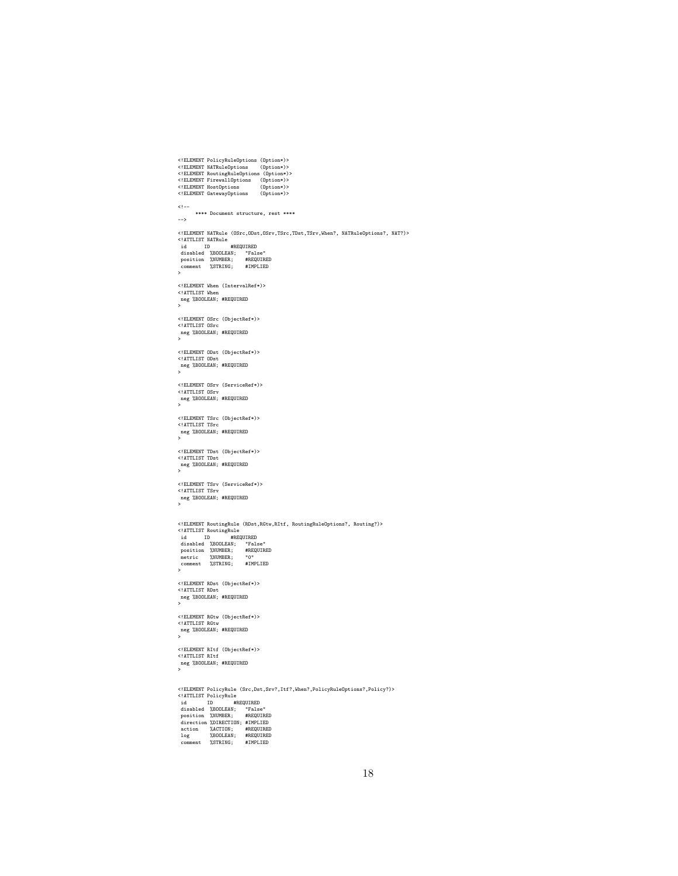```
<!ELEMENT PolicyRuleOptions (Option*)>
<!ELEMENT NATRuleOptions (Option*)>
<!ELEMENT RoutingRuleOptions (Option*)>
<!ELEMENT FirewallOptions (Option*)>
<!ELEMENT HostOptions (Option*)>
<!ELEMENT GatewayOptions (Option*)>
  <!--
**** Document structure, rest ****
-->
  %\ELEMENT NATRule (OSrc,ODst,OSrv,TSrc,TDst,TSrv,When?, NATRuleOptions?, NAT?)<br>
\at ID #REQUIRED<br>
disabled %BOOLEAN; "False"<br>
position %NUMBER; #REQUIRED<br>
comment %STRING; #REQUIRED<br>
comment %STRING; #IMPLIED
>
  <!ELEMENT When (IntervalRef*)>
<!ATTLIST When
neg %BOOLEAN; #REQUIRED
>
<!ELEMENT OSrc (ObjectRef*)>
  <!ATTLIST OSrc
neg %BOOLEAN; #REQUIRED
>
  <!ELEMENT ODst (ObjectRef*)>
<!ATTLIST ODst
neg %BOOLEAN; #REQUIRED
>
  <!ELEMENT OSrv (ServiceRef*)>
<!ATTLIST OSrv
neg %BOOLEAN; #REQUIRED
>
<!ELEMENT TSrc (ObjectRef*)>
<!ATTLIST TSrc
  neg %BOOLEAN; #REQUIRED
>
  <!ELEMENT TDst (ObjectRef*)>
<!ATTLIST TDst
neg %BOOLEAN; #REQUIRED
>
  <!ELEMENT TSrv (ServiceRef*)>
<!ATTLIST TSrv
neg %BOOLEAN; #REQUIRED
>
  %IELEMENT RoutingRule (RDst,RGtw,RItf, RoutingRuleOptions?, Routing?)><br>
\disabled %DOLEAN; "False"<br>
disabled %DOOLEAN; "False"<br>
position %NUMBER; #REQUIRED<br>
position %NUMBER; #REQUIRED<br>
metric %NUMBER; 0"<br>
comment %STRING;
>
  <!ELEMENT RDst (ObjectRef*)>
<!ATTLIST RDst
neg %BOOLEAN; #REQUIRED
>
<!ELEMENT RGtw (ObjectRef*)>
<!ATTLIST RGtw
  neg %BOOLEAN; #REQUIRED
>
<!ELEMENT RItf (ObjectRef*)>
  <!ATTLIST RItf
neg %BOOLEAN; #REQUIRED
>
<!ELEMENT PolicyRule (Src,Dst,Srv?,Itf?,When?,PolicyRuleOptions?,Policy?)>
<!ATTLIST PolicyRule
    id ID #REQUIRED<br>disabled %BOOLEAN; "False"<br>position %NUMBER; #REQUIRED<br>direction %DIRECTION; #IMPLIED<br>action %ACTION; #REQUIRED<br>log %BOLEAN; #REQUIRED<br>comment %STRING; #IMPLIED
```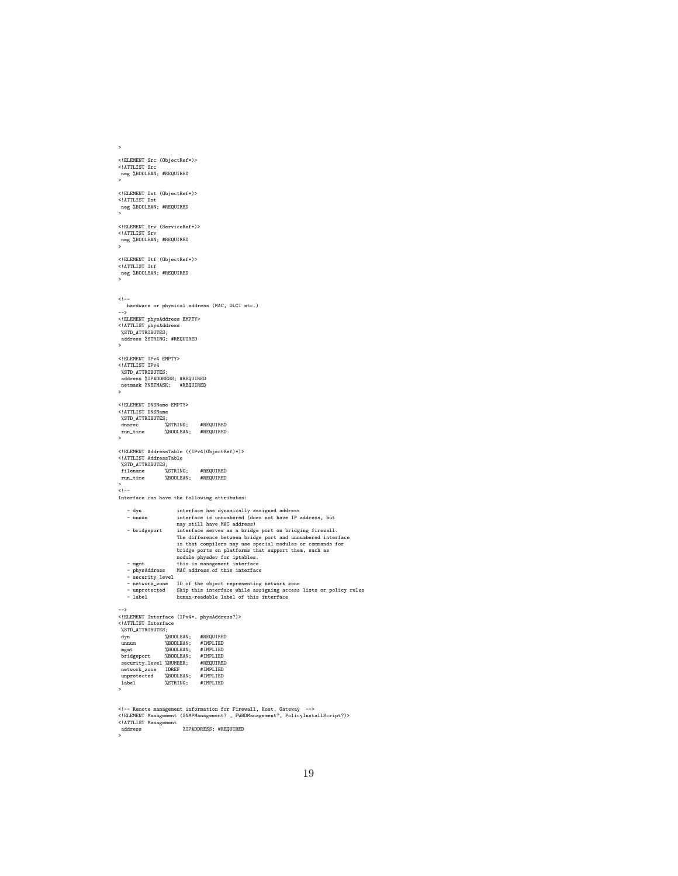```
>
 <!ELEMENT Src (ObjectRef*)>
<!ATTLIST Src
 neg %BOOLEAN; #REQUIRED
>
 <!ELEMENT Dst (ObjectRef*)>
<!ATTLIST Dst
 neg %BOOLEAN; #REQUIRED
>
<!ELEMENT Srv (ServiceRef*)>
 <!ATTLIST Srv
neg %BOOLEAN; #REQUIRED
>
 <!ELEMENT Itf (ObjectRef*)>
<!ATTLIST Itf
neg %BOOLEAN; #REQUIRED
>
< ! --hardware or physical address (MAC, DLCI etc.)
 -->
<!ELEMENT physAddress EMPTY>
 <!ATTLIST physAddress
%STD_ATTRIBUTES;
address %STRING; #REQUIRED
>
 <!ELEMENT IPv4 EMPTY>
<!ATTLIST IPv4
  %STD_ATTRIBUTES;
   address %IPADDRESS; #REQUIRED
netmask %NETMASK; #REQUIRED
 >
 <!ELEMENT DNSName EMPTY>
<!ATTLIST DNSName
%STD_ATTRIBUTES;
   dnsrec %STRING; #REQUIRED
run_time %BOOLEAN; #REQUIRED
 >
<!ELEMENT AddressTable ((IPv4|ObjectRef)*)>
 <!ATTLIST AddressTable
%STD_ATTRIBUTES;
filename %STRING; #REQUIRED
run_time %BOOLEAN; #REQUIRED
 ><br><!--
Interface can have the following attributes:
       - dyn<br>
interface has dynamically assigned address<br>
- unnum<br>
interface is unnumbered (does not have IP address, but<br>
may still have MAC address)<br>
- bridgeport interface<br>
The difference between bridge port and unnumbered int
       - mgmt<br>- physAddress MAC address of this interface<br>- security_level<br>- security_level<br>- network_zone ID of the object representing network zone<br>- unprotected Skip this interface while assigning access lists or policy rules<br>
 -->
<!ELEMENT Interface (IPv4*, physAddress?)>
 <!ATTLIST Interface
   %STD_ATTRIBUTES;
dyn %BOOLEAN; #REQUIRED
 unnum %BOOLEAN; #IMPLIED<br>
mgmt %BOOLEAN; #IMPLIED<br>
security_level %NUMBER; #IMPLIED<br>
security_level %NUMBER; #IMPLIED<br>
unprotected %BOOLEAN; #IMPLIED<br>
unprotected %BOOLEAN; #IMPLIED<br>
1Abel %STRING; #IMPLIED<br>
>
 <!-- Remote management information for Firewall, Host, Gateway -->
<!ELEMENT Management (SNMPManagement? , FWBDManagement?, PolicyInstallScript?)>
<!ATTLIST Management
                                       %IPADDRESS; #REQUIRED
Al ILIST:<br>address<br>>
```
19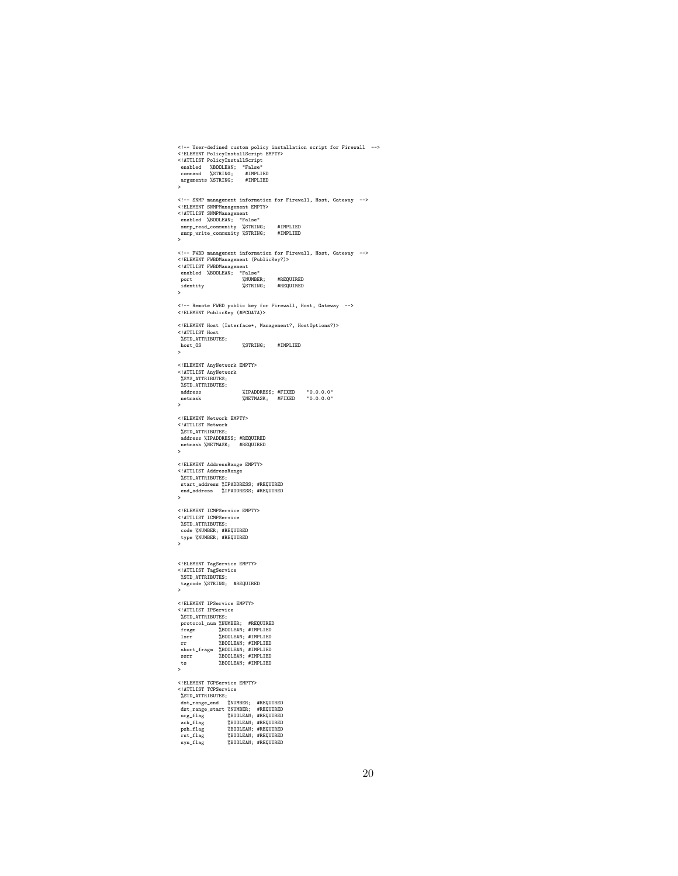```
% |- User-defined custom policy installation script for Firewall --><br>
\leq|ELEMENT PolicyInstallScript<br>
\leq|ATTLIST PolicyInstallScript<br>
command %STRING; #IMPLIED<br>
command %STRING; #IMPLIED<br>
\geq<br>
\geq<!== SNMP management information for Firewall, Host, Gateway --><br><!ELEMENT SNMPManagement EMPTY><br><!ELEMENT SNMPManagement<br>mabled XBOOLEAN; "False"<br>snmp_read_community XSTRING;<br>#IMPLIED<br>snmp_read_community XSTRING; #IMPLIED
 <!-- FWBD management information for Firewall, Host, Gateway -->
<!ELEMENT FWBDManagement (PublicKey?)>
<!ATTLIST FWBDManagement
enabled %BOOLEAN; "False"
   port %NUMBER; #REQUIRED
identity %STRING; #REQUIRED
>
 <!-- Remote FWBD public key for Firewall, Host, Gateway -->
<!ELEMENT PublicKey (#PCDATA)>
<!ELEMENT Host (Interface*, Management?, HostOptions?)>
 <!ATTLIST Host
%STD_ATTRIBUTES;
 host_OS %STRING; #IMPLIED
\sim<!ELEMENT AnyNetwork EMPTY>
 <!ATTLIST AnyNetwork
%SYS_ATTRIBUTES;
%STD_ATTRIBUTES;
   address %IPADDRESS; #FIXED "0.0.0.0"
netmask %NETMASK; #FIXED "0.0.0.0"
>
<!ELEMENT Network EMPTY>
<!ATTLIST Network
   %STD_ATTRIBUTES;<br>address %IPADDRESS; #REQUIRED<br>netmask %NETMASK; #REQUIRED
\ddot{\phantom{0}}<!ELEMENT AddressRange EMPTY>
<!ATTLIST AddressRange
  %STD_ATTRIBUTES;
   start_address %IPADDRESS; #REQUIRED
end_address %IPADDRESS; #REQUIRED
>
 <!ELEMENT ICMPService EMPTY>
<!ATTLIST ICMPService
 %STD_ATTRIBUTES;
 code %NUMBER; #REQUIRED
type %NUMBER; #REQUIRED
>
 <!ELEMENT TagService EMPTY>
<!ATTLIST TagService
%STD_ATTRIBUTES;
tagcode %STRING; #REQUIRED
>
 <!ELEMENT IPService EMPTY>
<!ATTLIST IPService
 %STD_ATTRIBUTES;
  protocol_num %NUMBER; #REQUIRED
 fragm %BOOLEAN; #IMPLIED<br>lsrr %BOOLEAN; #IMPLIED<br>short_fragm %BOOLEAN; #IMPLIED<br>ssrr %BOOLEAN; #IMPLIED<br>ssr %BOOLEAN; #IMPLIED<br>ts %BOOLEAN; #IMPLIED<br>>
 <!ELEMENT TCPService EMPTY>
<!ATTLIST TCPService
%STD_ATTRIBUTES;
   dst_range_endr %NUMBER; #REQUIRED<br>urg_flag %BOOLEAN; #REQUIRED<br>urg_flag %BOOLEAN; #REQUIRED<br>psh_flag %BOOLEAN; #REQUIRED<br>psh_flag %BOOLEAN; #REQUIRED<br>syn_flag %BOOLEAN; #REQUIRED
```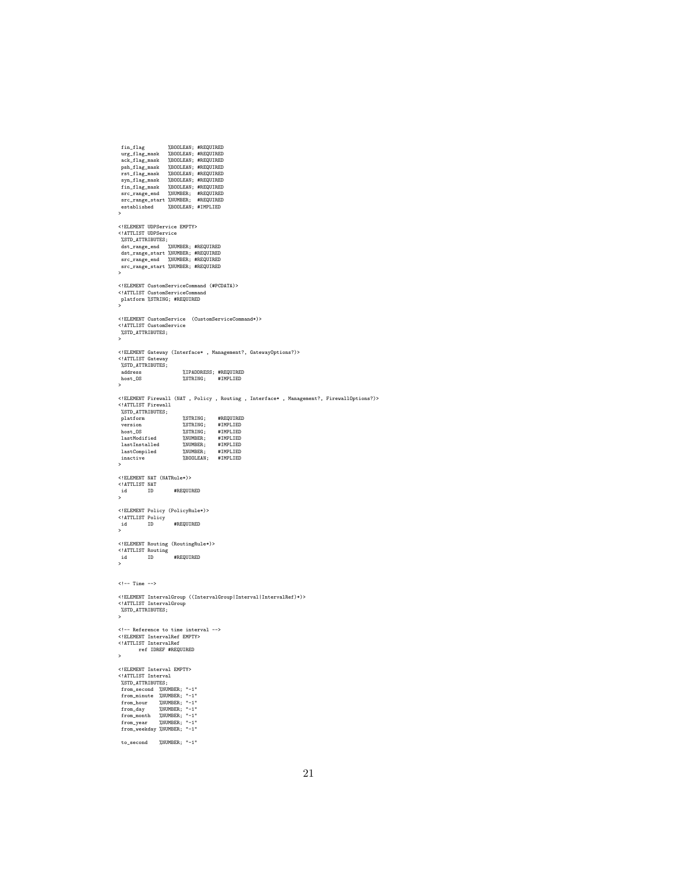```
\begin{tabular}{ll} $fin\_flag$ & $\,\,\%BOOLEAN$; \#REQUALRED\\ arg\_flag\_mask & $\,\,\%BOOLEAN$; \#REQUALRED\\ pak\_flag\_mask & $\,\,\%BOOLEAN$; \#REQUALRED\\ psh\_flag\_mask & $\,\,\,\%\,BOOLEAN$; \#REQUALRED\\ \end{tabular}urg_flag_mask %BOOLEAN; #REQUIRED
ack_flag_mask %BOOLEAN; #REQUIRED
    psh_flag_mask %BOOLEAN; #REQUIRED<br>rst_flag_mask %BOOLEAN; #REQUIRED<br>fin_flag_mask %BOOLEAN; #REQUIRED<br>fin_flag_mask %BOOLEAN; #REQUIRED<br>src_range_endr %NUMBER; #REQUIRED<br>src_range_etart %NUMBER; #REQUIRED
  established %BOOLEAN; #IMPLIED <br/>established %BOOLEAN; #IMPLIED
 >
 %STELEMENT UDPService EMPTY><br>
XSTD_ATTRIBUTES;<br>
%STD_ATTRIBUTES;<br>
dst_range_end %NUMBER; #REQUIRED<br>
dst_range_end %NUMBER; #REQUIRED<br>
src_range_end %NUMBER; #REQUIRED<br>
src_range_start %NUMBER; #REQUIRED<br>
>>
 <!ELEMENT CustomServiceCommand (#PCDATA)>
<!ATTLIST CustomServiceCommand
platform %STRING; #REQUIRED
>
<!ELEMENT CustomService (CustomServiceCommand*)>
<!ATTLIST CustomService
  %STD_ATTRIBUTES;
 >
 <!ELEMENT Gateway (Interface* , Management?, GatewayOptions?)><br><!ATTLIST Gateway<br>"ASTD_ATTRIBUTES;
    address %IPADDRESS; #REQUIRED
host_OS %STRING; #IMPLIED
 >
<!ELEMENT Firewall (NAT , Policy , Routing , Interface* , Management?, FirewallOptions?)>
 <!ATTLIST Firewall
%STD_ATTRIBUTES;
platform %STRING; #REQUIRED
version %STRING; #IMPLIED
    host_OS %STRING; #IMPLIED
lastModified %NUMBER; #IMPLIED
lastInstalled %NUMBER; #IMPLIED
    lastCompiled %NUMBER; #IMPLIED
inactive %BOOLEAN; #IMPLIED
 >
<!ELEMENT NAT (NATRule*)>
 <!ATTLIST NAT
id ID #REQUIRED
\mathbf{r}<!ELEMENT Policy (PolicyRule*)>
<!ATTLIST Policy
id ID #REQUIRED
\frac{id}{2}<!ELEMENT Routing (RoutingRule*)>
<!ATTLIST Routing
id ID #REQUIRED
\frac{1}{10}\leftarrow -- Time -->
 <!ELEMENT IntervalGroup ((IntervalGroup|Interval|IntervalRef)*)><br><!ATTLIST IntervalGroup<br>"ASTD_ATTRIBUTES;
>
 <!-- Reference to time interval -->
<!ELEMENT IntervalRef EMPTY>
<!ATTLIST IntervalRef
ref IDREF #REQUIRED
\ddot{\phantom{0}}<!ELEMENT Interval EMPTY>
<!ATTLIST Interval
%STD_ATTRIBUTES;
from_second %NUMBER; "-1"
from_minute %NUMBER; "-1"
from_hour %NUMBER; "-1"
from_day %NUMBER; "-1"
from_month %NUMBER; "-1"
from_year %NUMBER; "-1"
  from_year %NUMBER; "-1"<br>from_weekday %NUMBER; "-1"
  to_second %NUMBER; "-1"
```